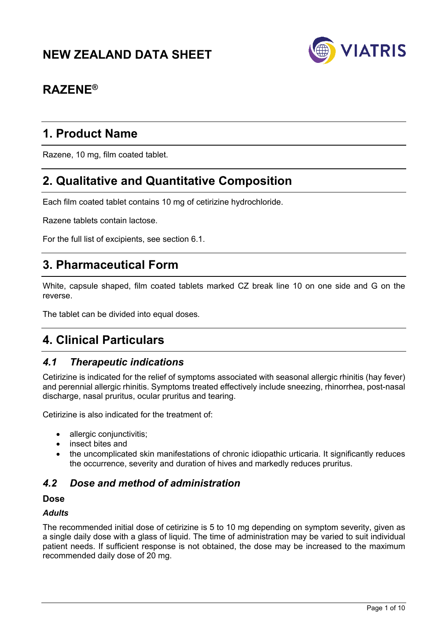# **NEW ZEALAND DATA SHEET**



# **RAZENE®**

# **1. Product Name**

Razene, 10 mg, film coated tablet.

# **2. Qualitative and Quantitative Composition**

Each film coated tablet contains 10 mg of cetirizine hydrochloride.

Razene tablets contain lactose.

For the full list of excipients, see section 6.1.

# **3. Pharmaceutical Form**

White, capsule shaped, film coated tablets marked CZ break line 10 on one side and G on the reverse.

The tablet can be divided into equal doses*.*

# **4. Clinical Particulars**

# *4.1 Therapeutic indications*

Cetirizine is indicated for the relief of symptoms associated with seasonal allergic rhinitis (hay fever) and perennial allergic rhinitis. Symptoms treated effectively include sneezing, rhinorrhea, post-nasal discharge, nasal pruritus, ocular pruritus and tearing.

Cetirizine is also indicated for the treatment of:

- allergic conjunctivitis;
- insect bites and
- the uncomplicated skin manifestations of chronic idiopathic urticaria. It significantly reduces the occurrence, severity and duration of hives and markedly reduces pruritus.

## *4.2 Dose and method of administration*

#### **Dose**

#### *Adults*

The recommended initial dose of cetirizine is 5 to 10 mg depending on symptom severity, given as a single daily dose with a glass of liquid. The time of administration may be varied to suit individual patient needs. If sufficient response is not obtained, the dose may be increased to the maximum recommended daily dose of 20 mg.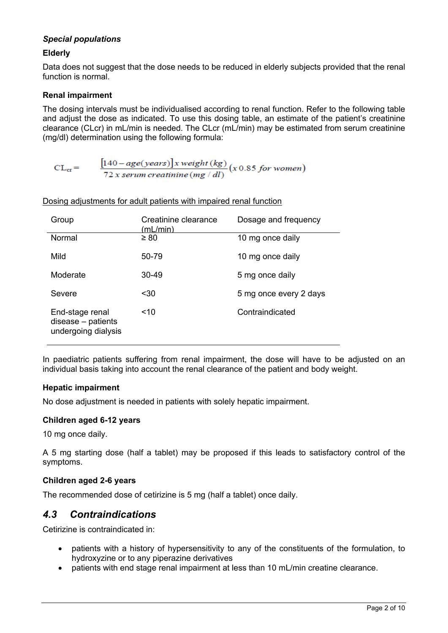## *Special populations*

### **Elderly**

Data does not suggest that the dose needs to be reduced in elderly subjects provided that the renal function is normal.

#### **Renal impairment**

The dosing intervals must be individualised according to renal function. Refer to the following table and adjust the dose as indicated. To use this dosing table, an estimate of the patient's creatinine clearance (CLcr) in mL/min is needed. The CLcr (mL/min) may be estimated from serum creatinine (mg/dl) determination using the following formula:

$$
CL_{cr} = \frac{[140 - age(years)]x weight (kg)}{72 x serum creationine (mg / dl)} (x 0.85 for women)
$$

| Group                                                          | Creatinine clearance<br>(mL/min) | Dosage and frequency   |
|----------------------------------------------------------------|----------------------------------|------------------------|
| Normal                                                         | $\geq 80$                        | 10 mg once daily       |
| Mild                                                           | 50-79                            | 10 mg once daily       |
| Moderate                                                       | 30-49                            | 5 mg once daily        |
| Severe                                                         | $30$                             | 5 mg once every 2 days |
| End-stage renal<br>$disease - patients$<br>undergoing dialysis | ~10                              | Contraindicated        |

Dosing adjustments for adult patients with impaired renal function

In paediatric patients suffering from renal impairment, the dose will have to be adjusted on an individual basis taking into account the renal clearance of the patient and body weight.

#### **Hepatic impairment**

No dose adjustment is needed in patients with solely hepatic impairment.

#### **Children aged 6-12 years**

10 mg once daily.

A 5 mg starting dose (half a tablet) may be proposed if this leads to satisfactory control of the symptoms.

#### **Children aged 2-6 years**

The recommended dose of cetirizine is 5 mg (half a tablet) once daily.

## *4.3 Contraindications*

Cetirizine is contraindicated in:

- patients with a history of hypersensitivity to any of the constituents of the formulation, to hydroxyzine or to any piperazine derivatives
- patients with end stage renal impairment at less than 10 mL/min creatine clearance.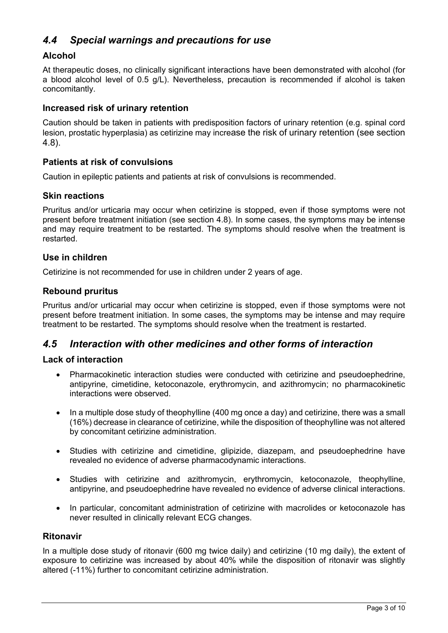# *4.4 Special warnings and precautions for use*

## **Alcohol**

At therapeutic doses, no clinically significant interactions have been demonstrated with alcohol (for a blood alcohol level of 0.5 g/L). Nevertheless, precaution is recommended if alcohol is taken concomitantly.

## **Increased risk of urinary retention**

Caution should be taken in patients with predisposition factors of urinary retention (e.g. spinal cord lesion, prostatic hyperplasia) as cetirizine may increase the risk of urinary retention (see section 4.8).

### **Patients at risk of convulsions**

Caution in epileptic patients and patients at risk of convulsions is recommended.

### **Skin reactions**

Pruritus and/or urticaria may occur when cetirizine is stopped, even if those symptoms were not present before treatment initiation (see section 4.8). In some cases, the symptoms may be intense and may require treatment to be restarted. The symptoms should resolve when the treatment is restarted.

### **Use in children**

Cetirizine is not recommended for use in children under 2 years of age.

### **Rebound pruritus**

Pruritus and/or urticarial may occur when cetirizine is stopped, even if those symptoms were not present before treatment initiation. In some cases, the symptoms may be intense and may require treatment to be restarted. The symptoms should resolve when the treatment is restarted.

## *4.5 Interaction with other medicines and other forms of interaction*

### **Lack of interaction**

- Pharmacokinetic interaction studies were conducted with cetirizine and pseudoephedrine, antipyrine, cimetidine, ketoconazole, erythromycin, and azithromycin; no pharmacokinetic interactions were observed.
- In a multiple dose study of theophylline (400 mg once a day) and cetirizine, there was a small (16%) decrease in clearance of cetirizine, while the disposition of theophylline was not altered by concomitant cetirizine administration.
- Studies with cetirizine and cimetidine, glipizide, diazepam, and pseudoephedrine have revealed no evidence of adverse pharmacodynamic interactions.
- Studies with cetirizine and azithromycin, erythromycin, ketoconazole, theophylline, antipyrine, and pseudoephedrine have revealed no evidence of adverse clinical interactions.
- In particular, concomitant administration of cetirizine with macrolides or ketoconazole has never resulted in clinically relevant ECG changes.

#### **Ritonavir**

In a multiple dose study of ritonavir (600 mg twice daily) and cetirizine (10 mg daily), the extent of exposure to cetirizine was increased by about 40% while the disposition of ritonavir was slightly altered (-11%) further to concomitant cetirizine administration.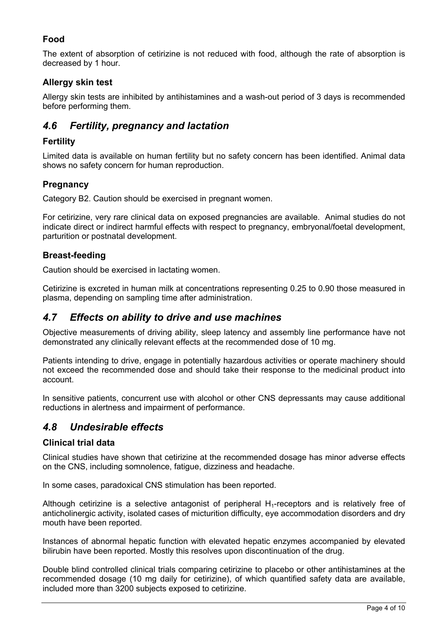## **Food**

The extent of absorption of cetirizine is not reduced with food, although the rate of absorption is decreased by 1 hour.

## **Allergy skin test**

Allergy skin tests are inhibited by antihistamines and a wash-out period of 3 days is recommended before performing them.

# *4.6 Fertility, pregnancy and lactation*

## **Fertility**

Limited data is available on human fertility but no safety concern has been identified. Animal data shows no safety concern for human reproduction.

## **Pregnancy**

Category B2. Caution should be exercised in pregnant women.

For cetirizine, very rare clinical data on exposed pregnancies are available. Animal studies do not indicate direct or indirect harmful effects with respect to pregnancy, embryonal/foetal development, parturition or postnatal development.

## **Breast-feeding**

Caution should be exercised in lactating women.

Cetirizine is excreted in human milk at concentrations representing 0.25 to 0.90 those measured in plasma, depending on sampling time after administration.

## *4.7 Effects on ability to drive and use machines*

Objective measurements of driving ability, sleep latency and assembly line performance have not demonstrated any clinically relevant effects at the recommended dose of 10 mg.

Patients intending to drive, engage in potentially hazardous activities or operate machinery should not exceed the recommended dose and should take their response to the medicinal product into account.

In sensitive patients, concurrent use with alcohol or other CNS depressants may cause additional reductions in alertness and impairment of performance.

# *4.8 Undesirable effects*

## **Clinical trial data**

Clinical studies have shown that cetirizine at the recommended dosage has minor adverse effects on the CNS, including somnolence, fatigue, dizziness and headache.

In some cases, paradoxical CNS stimulation has been reported.

Although cetirizine is a selective antagonist of peripheral  $H_1$ -receptors and is relatively free of anticholinergic activity, isolated cases of micturition difficulty, eye accommodation disorders and dry mouth have been reported.

Instances of abnormal hepatic function with elevated hepatic enzymes accompanied by elevated bilirubin have been reported. Mostly this resolves upon discontinuation of the drug.

Double blind controlled clinical trials comparing cetirizine to placebo or other antihistamines at the recommended dosage (10 mg daily for cetirizine), of which quantified safety data are available, included more than 3200 subjects exposed to cetirizine.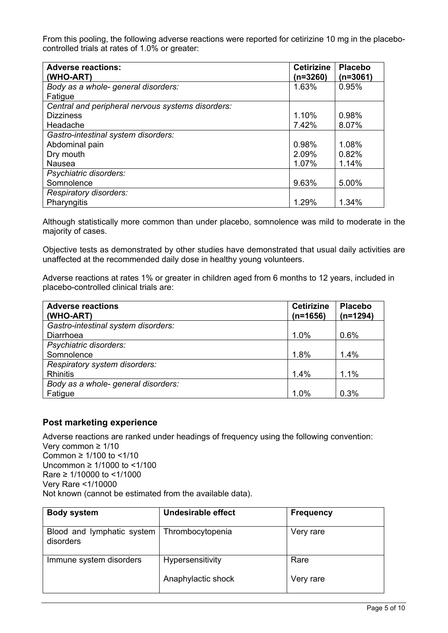From this pooling, the following adverse reactions were reported for cetirizine 10 mg in the placebocontrolled trials at rates of 1.0% or greater:

| <b>Adverse reactions:</b><br>(WHO-ART)            | <b>Cetirizine</b><br>$(n=3260)$ | <b>Placebo</b><br>$(n=3061)$ |
|---------------------------------------------------|---------------------------------|------------------------------|
| Body as a whole- general disorders:               | 1.63%                           | 0.95%                        |
| Fatigue                                           |                                 |                              |
| Central and peripheral nervous systems disorders: |                                 |                              |
| <b>Dizziness</b>                                  | 1.10%                           | 0.98%                        |
| Headache                                          | 7.42%                           | 8.07%                        |
| Gastro-intestinal system disorders:               |                                 |                              |
| Abdominal pain                                    | 0.98%                           | 1.08%                        |
| Dry mouth                                         | 2.09%                           | 0.82%                        |
| <b>Nausea</b>                                     | 1.07%                           | 1.14%                        |
| Psychiatric disorders:                            |                                 |                              |
| Somnolence                                        | 9.63%                           | 5.00%                        |
| Respiratory disorders:                            |                                 |                              |
| Pharyngitis                                       | 1.29%                           | 1.34%                        |

Although statistically more common than under placebo, somnolence was mild to moderate in the majority of cases.

Objective tests as demonstrated by other studies have demonstrated that usual daily activities are unaffected at the recommended daily dose in healthy young volunteers.

Adverse reactions at rates 1% or greater in children aged from 6 months to 12 years, included in placebo-controlled clinical trials are:

| <b>Adverse reactions</b><br>(WHO-ART) | <b>Cetirizine</b><br>$(n=1656)$ | <b>Placebo</b><br>$(n=1294)$ |
|---------------------------------------|---------------------------------|------------------------------|
| Gastro-intestinal system disorders:   |                                 |                              |
| Diarrhoea                             | 1.0%                            | 0.6%                         |
| Psychiatric disorders:                |                                 |                              |
| Somnolence                            | 1.8%                            | 1.4%                         |
| Respiratory system disorders:         |                                 |                              |
| <b>Rhinitis</b>                       | 1.4%                            | 1.1%                         |
| Body as a whole- general disorders:   |                                 |                              |
| Fatigue                               | 1.0%                            | 0.3%                         |

## **Post marketing experience**

Adverse reactions are ranked under headings of frequency using the following convention: Very common ≥ 1/10 Common ≥ 1/100 to <1/10 Uncommon ≥ 1/1000 to <1/100 Rare ≥ 1/10000 to <1/1000 Very Rare <1/10000 Not known (cannot be estimated from the available data).

| <b>Body system</b>                      | <b>Undesirable effect</b> | <b>Frequency</b> |
|-----------------------------------------|---------------------------|------------------|
| Blood and lymphatic system<br>disorders | Thrombocytopenia          | Very rare        |
| Immune system disorders                 | Hypersensitivity          | Rare             |
|                                         | Anaphylactic shock        | Very rare        |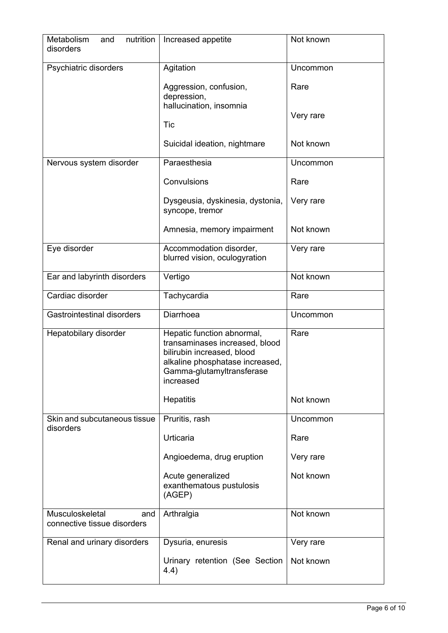| nutrition<br>Metabolism<br>and<br>disorders           | Increased appetite                                                                                                                                                      | Not known         |
|-------------------------------------------------------|-------------------------------------------------------------------------------------------------------------------------------------------------------------------------|-------------------|
| Psychiatric disorders                                 | Agitation                                                                                                                                                               | Uncommon          |
|                                                       | Aggression, confusion,<br>depression,<br>hallucination, insomnia<br>Tic                                                                                                 | Rare<br>Very rare |
|                                                       | Suicidal ideation, nightmare                                                                                                                                            | Not known         |
| Nervous system disorder                               | Paraesthesia                                                                                                                                                            | Uncommon          |
|                                                       | Convulsions                                                                                                                                                             | Rare              |
|                                                       | Dysgeusia, dyskinesia, dystonia,<br>syncope, tremor                                                                                                                     | Very rare         |
|                                                       | Amnesia, memory impairment                                                                                                                                              | Not known         |
| Eye disorder                                          | Accommodation disorder,<br>blurred vision, oculogyration                                                                                                                | Very rare         |
| Ear and labyrinth disorders                           | Vertigo                                                                                                                                                                 | Not known         |
| Cardiac disorder                                      | Tachycardia                                                                                                                                                             | Rare              |
| <b>Gastrointestinal disorders</b>                     | Diarrhoea                                                                                                                                                               | Uncommon          |
| Hepatobilary disorder                                 | Hepatic function abnormal,<br>transaminases increased, blood<br>bilirubin increased, blood<br>alkaline phosphatase increased,<br>Gamma-glutamyltransferase<br>increased | Rare              |
|                                                       | Hepatitis                                                                                                                                                               | Not known         |
| Skin and subcutaneous tissue<br>disorders             | Pruritis, rash                                                                                                                                                          | <b>Uncommon</b>   |
|                                                       | Urticaria                                                                                                                                                               | Rare              |
|                                                       | Angioedema, drug eruption                                                                                                                                               | Very rare         |
|                                                       | Acute generalized<br>exanthematous pustulosis<br>(AGEP)                                                                                                                 | Not known         |
| Musculoskeletal<br>and<br>connective tissue disorders | Arthralgia                                                                                                                                                              | Not known         |
| Renal and urinary disorders                           | Dysuria, enuresis                                                                                                                                                       | Very rare         |
|                                                       | Urinary retention (See Section<br>4.4)                                                                                                                                  | Not known         |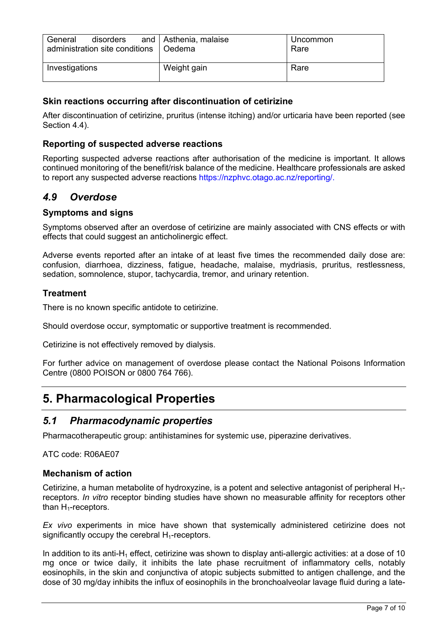| General<br>administration site conditions   Oedema | disorders and $\vert$ Asthenia, malaise | Uncommon<br>Rare |
|----------------------------------------------------|-----------------------------------------|------------------|
| Investigations                                     | Weight gain                             | Rare             |

## **Skin reactions occurring after discontinuation of cetirizine**

After discontinuation of cetirizine, pruritus (intense itching) and/or urticaria have been reported (see Section 4.4).

## **Reporting of suspected adverse reactions**

Reporting suspected adverse reactions after authorisation of the medicine is important. It allows continued monitoring of the benefit/risk balance of the medicine. Healthcare professionals are asked to report any suspected adverse reactions https://nzphvc.otago.ac.nz/reporting/.

## *4.9 Overdose*

### **Symptoms and signs**

Symptoms observed after an overdose of cetirizine are mainly associated with CNS effects or with effects that could suggest an anticholinergic effect.

Adverse events reported after an intake of at least five times the recommended daily dose are: confusion, diarrhoea, dizziness, fatigue, headache, malaise, mydriasis, pruritus, restlessness, sedation, somnolence, stupor, tachycardia, tremor, and urinary retention.

## **Treatment**

There is no known specific antidote to cetirizine.

Should overdose occur, symptomatic or supportive treatment is recommended.

Cetirizine is not effectively removed by dialysis.

For further advice on management of overdose please contact the National Poisons Information Centre (0800 POISON or 0800 764 766).

# **5. Pharmacological Properties**

## *5.1 Pharmacodynamic properties*

Pharmacotherapeutic group: antihistamines for systemic use, piperazine derivatives.

ATC code: R06AE07

#### **Mechanism of action**

Cetirizine, a human metabolite of hydroxyzine, is a potent and selective antagonist of peripheral  $H_1$ receptors. *In vitro* receptor binding studies have shown no measurable affinity for receptors other than  $H_1$ -receptors.

*Ex vivo* experiments in mice have shown that systemically administered cetirizine does not significantly occupy the cerebral  $H_1$ -receptors.

In addition to its anti-H<sub>1</sub> effect, cetirizine was shown to display anti-allergic activities: at a dose of 10 mg once or twice daily, it inhibits the late phase recruitment of inflammatory cells, notably eosinophils, in the skin and conjunctiva of atopic subjects submitted to antigen challenge, and the dose of 30 mg/day inhibits the influx of eosinophils in the bronchoalveolar lavage fluid during a late-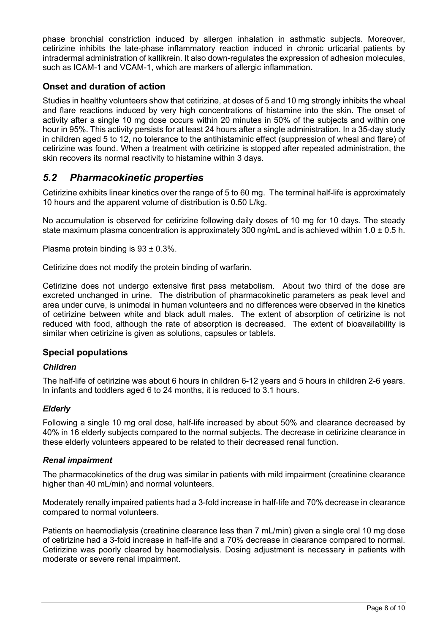phase bronchial constriction induced by allergen inhalation in asthmatic subjects. Moreover, cetirizine inhibits the late-phase inflammatory reaction induced in chronic urticarial patients by intradermal administration of kallikrein. It also down-regulates the expression of adhesion molecules, such as ICAM-1 and VCAM-1, which are markers of allergic inflammation.

## **Onset and duration of action**

Studies in healthy volunteers show that cetirizine, at doses of 5 and 10 mg strongly inhibits the wheal and flare reactions induced by very high concentrations of histamine into the skin. The onset of activity after a single 10 mg dose occurs within 20 minutes in 50% of the subjects and within one hour in 95%. This activity persists for at least 24 hours after a single administration. In a 35-day study in children aged 5 to 12, no tolerance to the antihistaminic effect (suppression of wheal and flare) of cetirizine was found. When a treatment with cetirizine is stopped after repeated administration, the skin recovers its normal reactivity to histamine within 3 days.

# *5.2 Pharmacokinetic properties*

Cetirizine exhibits linear kinetics over the range of 5 to 60 mg. The terminal half-life is approximately 10 hours and the apparent volume of distribution is 0.50 L/kg.

No accumulation is observed for cetirizine following daily doses of 10 mg for 10 days. The steady state maximum plasma concentration is approximately 300 ng/mL and is achieved within 1.0  $\pm$  0.5 h.

Plasma protein binding is 93 ± 0.3%.

Cetirizine does not modify the protein binding of warfarin.

Cetirizine does not undergo extensive first pass metabolism. About two third of the dose are excreted unchanged in urine. The distribution of pharmacokinetic parameters as peak level and area under curve, is unimodal in human volunteers and no differences were observed in the kinetics of cetirizine between white and black adult males. The extent of absorption of cetirizine is not reduced with food, although the rate of absorption is decreased. The extent of bioavailability is similar when cetirizine is given as solutions, capsules or tablets.

## **Special populations**

#### *Children*

The half-life of cetirizine was about 6 hours in children 6-12 years and 5 hours in children 2-6 years. In infants and toddlers aged 6 to 24 months, it is reduced to 3.1 hours.

#### *Elderly*

Following a single 10 mg oral dose, half-life increased by about 50% and clearance decreased by 40% in 16 elderly subjects compared to the normal subjects. The decrease in cetirizine clearance in these elderly volunteers appeared to be related to their decreased renal function.

#### *Renal impairment*

The pharmacokinetics of the drug was similar in patients with mild impairment (creatinine clearance higher than 40 mL/min) and normal volunteers.

Moderately renally impaired patients had a 3-fold increase in half-life and 70% decrease in clearance compared to normal volunteers.

Patients on haemodialysis (creatinine clearance less than 7 mL/min) given a single oral 10 mg dose of cetirizine had a 3-fold increase in half-life and a 70% decrease in clearance compared to normal. Cetirizine was poorly cleared by haemodialysis. Dosing adjustment is necessary in patients with moderate or severe renal impairment.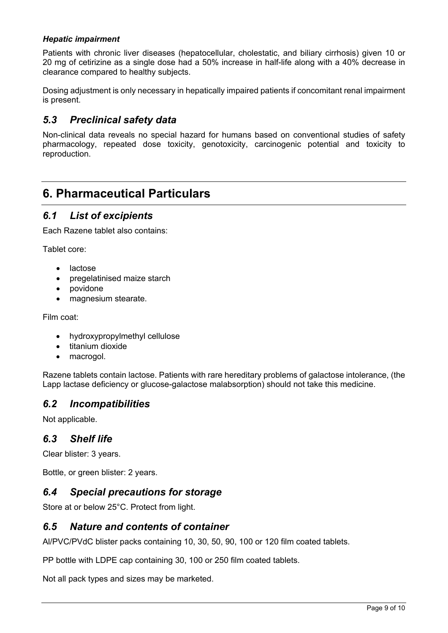### *Hepatic impairment*

Patients with chronic liver diseases (hepatocellular, cholestatic, and biliary cirrhosis) given 10 or 20 mg of cetirizine as a single dose had a 50% increase in half-life along with a 40% decrease in clearance compared to healthy subjects.

Dosing adjustment is only necessary in hepatically impaired patients if concomitant renal impairment is present.

## *5.3 Preclinical safety data*

Non-clinical data reveals no special hazard for humans based on conventional studies of safety pharmacology, repeated dose toxicity, genotoxicity, carcinogenic potential and toxicity to reproduction.

# **6. Pharmaceutical Particulars**

## *6.1 List of excipients*

Each Razene tablet also contains:

Tablet core:

- lactose
- pregelatinised maize starch
- povidone
- magnesium stearate.

Film coat:

- hydroxypropylmethyl cellulose
- titanium dioxide
- macrogol.

Razene tablets contain lactose. Patients with rare hereditary problems of galactose intolerance, (the Lapp lactase deficiency or glucose-galactose malabsorption) should not take this medicine.

## *6.2 Incompatibilities*

Not applicable.

## *6.3 Shelf life*

Clear blister: 3 years.

Bottle, or green blister: 2 years.

## *6.4 Special precautions for storage*

Store at or below 25°C. Protect from light.

## *6.5 Nature and contents of container*

Al/PVC/PVdC blister packs containing 10, 30, 50, 90, 100 or 120 film coated tablets.

PP bottle with LDPE cap containing 30, 100 or 250 film coated tablets.

Not all pack types and sizes may be marketed.